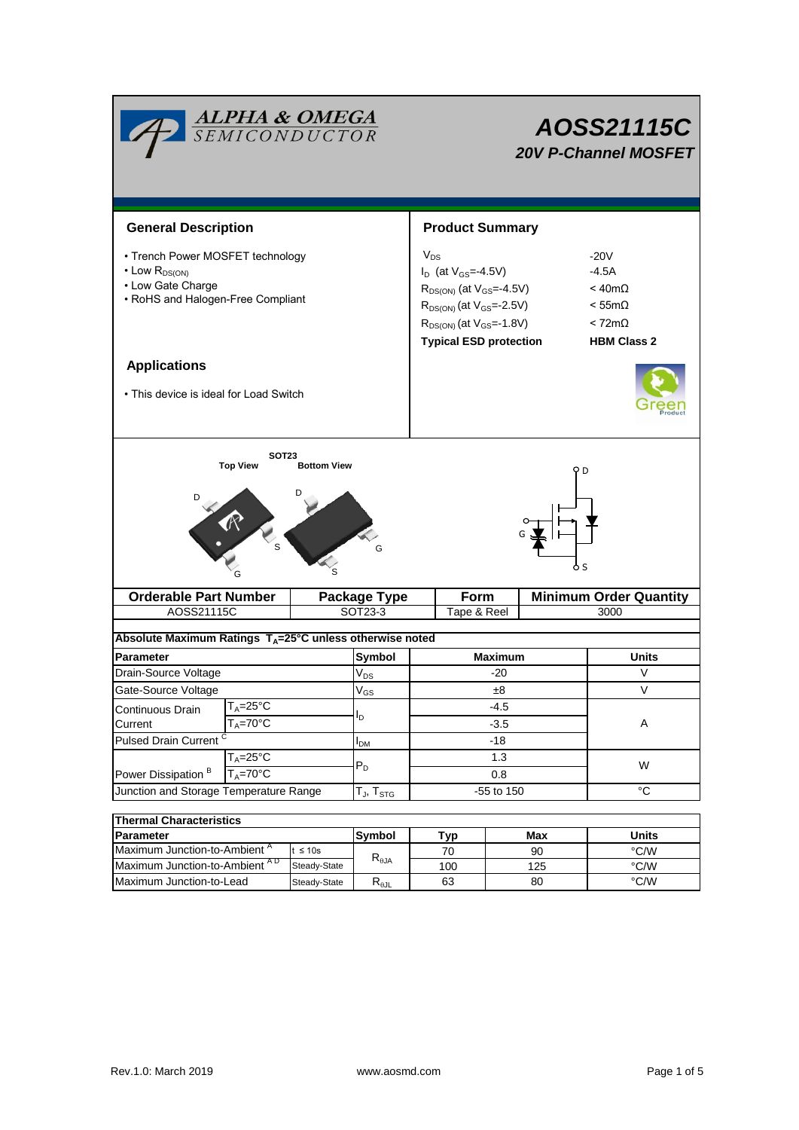| <b>ALPHA &amp; OMEGA</b><br>SEMICONDUCTOR                                                                              |                                     |                     |                    |                                                                                                                                                                                              | AOSS21115C<br><b>20V P-Channel MOSFET</b> |             |                                                                                                       |   |  |  |
|------------------------------------------------------------------------------------------------------------------------|-------------------------------------|---------------------|--------------------|----------------------------------------------------------------------------------------------------------------------------------------------------------------------------------------------|-------------------------------------------|-------------|-------------------------------------------------------------------------------------------------------|---|--|--|
| <b>General Description</b>                                                                                             |                                     |                     |                    | <b>Product Summary</b>                                                                                                                                                                       |                                           |             |                                                                                                       |   |  |  |
| • Trench Power MOSFET technology<br>$\cdot$ Low $R_{DS(ON)}$<br>• Low Gate Charge<br>• RoHS and Halogen-Free Compliant |                                     |                     |                    | $V_{DS}$<br>$I_D$ (at $V_{GS} = -4.5V$ )<br>$R_{DS(ON)}$ (at $V_{GS}$ =-4.5V)<br>$R_{DS(ON)}$ (at $V_{GS} = -2.5V$ )<br>$R_{DS(ON)}$ (at $V_{GS} = -1.8V$ )<br><b>Typical ESD protection</b> |                                           |             | $-20V$<br>$-4.5A$<br>$< 40m\Omega$<br>$<$ 55m $\Omega$<br>$< 72 \text{m}\Omega$<br><b>HBM Class 2</b> |   |  |  |
| <b>Applications</b>                                                                                                    |                                     |                     |                    |                                                                                                                                                                                              |                                           |             |                                                                                                       |   |  |  |
| • This device is ideal for Load Switch                                                                                 |                                     |                     |                    |                                                                                                                                                                                              |                                           |             |                                                                                                       |   |  |  |
| <b>Top View</b><br><b>Bottom View</b><br>D<br>S<br>G                                                                   |                                     |                     |                    |                                                                                                                                                                                              |                                           |             |                                                                                                       |   |  |  |
| <b>Orderable Part Number</b>                                                                                           |                                     | <b>Package Type</b> |                    | Form                                                                                                                                                                                         |                                           |             | <b>Minimum Order Quantity</b>                                                                         |   |  |  |
| AOSS21115C                                                                                                             |                                     |                     | SOT23-3            | Tape & Reel<br>3000                                                                                                                                                                          |                                           |             |                                                                                                       |   |  |  |
| Absolute Maximum Ratings T <sub>A</sub> =25°C unless otherwise noted                                                   |                                     |                     |                    |                                                                                                                                                                                              |                                           |             |                                                                                                       |   |  |  |
| Parameter                                                                                                              |                                     |                     | Symbol<br>$V_{DS}$ | <b>Maximum</b>                                                                                                                                                                               |                                           |             | Units                                                                                                 |   |  |  |
| Drain-Source Voltage                                                                                                   |                                     |                     |                    | -20                                                                                                                                                                                          |                                           |             | V                                                                                                     |   |  |  |
| Gate-Source Voltage                                                                                                    |                                     | $V_{GS}$            | ±8                 |                                                                                                                                                                                              | V                                         |             |                                                                                                       |   |  |  |
| T <sub>A</sub> =25°C<br>Continuous Drain                                                                               |                                     | I <sub>D</sub>      |                    | -4.5                                                                                                                                                                                         |                                           |             |                                                                                                       |   |  |  |
| Current                                                                                                                | $T_A = 70$ °C                       |                     |                    |                                                                                                                                                                                              |                                           | $-3.5$      |                                                                                                       | A |  |  |
| <b>Pulsed Drain Current</b>                                                                                            |                                     | $I_{DM}$            | $-18$              |                                                                                                                                                                                              |                                           |             |                                                                                                       |   |  |  |
| Power Dissipation <sup>B</sup>                                                                                         | $T_A = 25$ °C<br>$T_A = 70^\circ C$ |                     | $P_D$              | 1.3<br>$0.8\,$                                                                                                                                                                               |                                           |             | W                                                                                                     |   |  |  |
| Junction and Storage Temperature Range                                                                                 |                                     | $T_{J}$ , $T_{STG}$ | -55 to 150         |                                                                                                                                                                                              |                                           | $^{\circ}C$ |                                                                                                       |   |  |  |
| <b>Thermal Characteristics</b>                                                                                         |                                     |                     |                    |                                                                                                                                                                                              |                                           |             |                                                                                                       |   |  |  |
|                                                                                                                        |                                     |                     |                    |                                                                                                                                                                                              |                                           |             |                                                                                                       |   |  |  |

| i i hermal Characterístics                |                     |                        |     |       |      |  |  |  |  |
|-------------------------------------------|---------------------|------------------------|-----|-------|------|--|--|--|--|
| <b>Parameter</b>                          | Tvp<br>Symbol       |                        | Max | Units |      |  |  |  |  |
| Maximum Junction-to-Ambient "             | ≤ 10s<br>$R_{0,IA}$ |                        |     | 90    | °C/W |  |  |  |  |
| Maximum Junction-to-Ambient <sup>AD</sup> | Steady-State        |                        | 100 | 125   | °C/W |  |  |  |  |
| Maximum Junction-to-Lead                  | Steady-State        | $R_{\theta \text{JL}}$ | 63  | 80    | °C/W |  |  |  |  |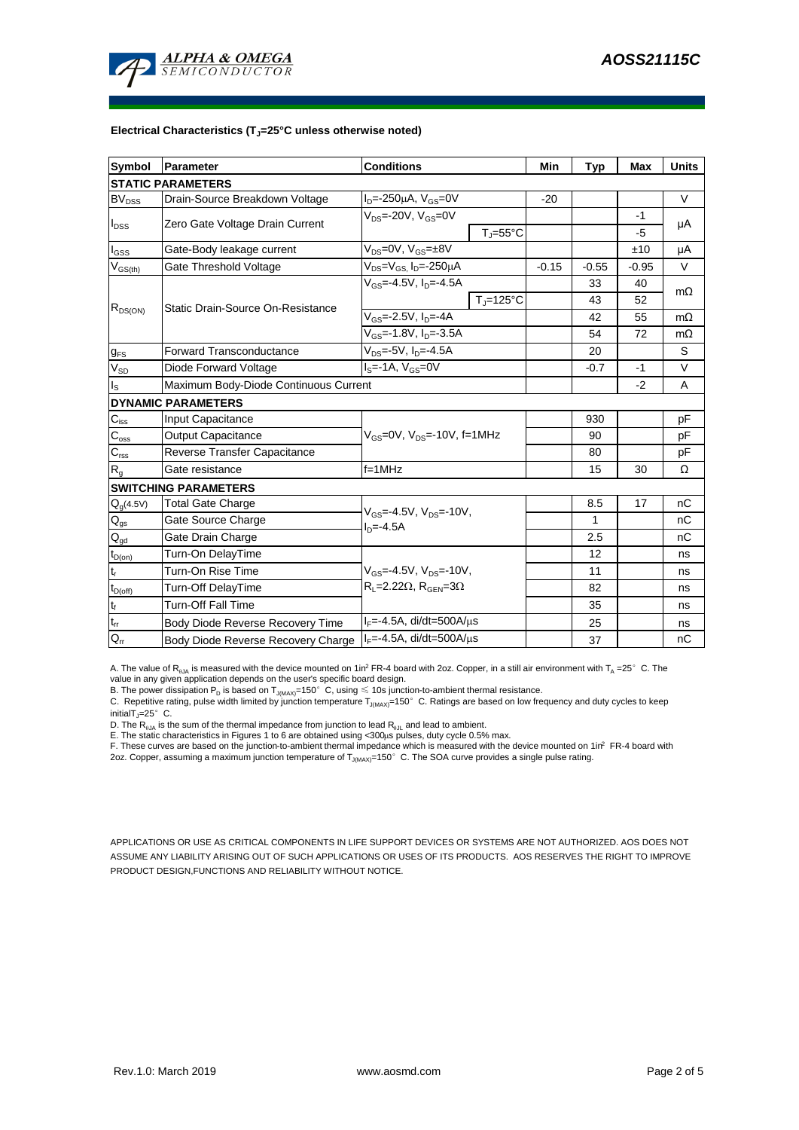

#### **Electrical Characteristics (TJ=25°C unless otherwise noted)**

| <b>Symbol</b>                | Parameter                             | <b>Conditions</b>                                                                       | Min                          | <b>Typ</b> | <b>Max</b>   | <b>Units</b> |           |  |  |
|------------------------------|---------------------------------------|-----------------------------------------------------------------------------------------|------------------------------|------------|--------------|--------------|-----------|--|--|
| <b>STATIC PARAMETERS</b>     |                                       |                                                                                         |                              |            |              |              |           |  |  |
| $\mathsf{BV}_{\mathsf{DSS}}$ | Drain-Source Breakdown Voltage        | $I_D = -250 \mu A$ , $V_{GS} = 0V$                                                      |                              | $-20$      |              |              | V         |  |  |
| $I_{DSS}$                    | Zero Gate Voltage Drain Current       | $V_{DS}$ =-20V, $V_{GS}$ =0V                                                            |                              |            |              | $-1$         | μA        |  |  |
|                              |                                       |                                                                                         | $T_{\text{J}} = 55^{\circ}C$ |            |              | $-5$         |           |  |  |
| $I_{GSS}$                    | Gate-Body leakage current             | $V_{DS} = 0V$ , $V_{GS} = \pm 8V$                                                       |                              |            |              | ±10          | μA        |  |  |
| $V_{GS(th)}$                 | Gate Threshold Voltage                | V <sub>DS</sub> =V <sub>GS.</sub> I <sub>D</sub> =-250µA                                |                              | $-0.15$    | $-0.55$      | $-0.95$      | V         |  |  |
| $R_{DS(ON)}$                 | Static Drain-Source On-Resistance     | $V_{GS} = -4.5V$ , $I_{D} = -4.5A$                                                      |                              |            | 33           | 40           | $m\Omega$ |  |  |
|                              |                                       |                                                                                         | $T_J = 125$ °C               |            | 43           | 52           |           |  |  |
|                              |                                       | $V_{GS}$ =-2.5V, $I_{D}$ =-4A                                                           |                              | 42         | 55           | $m\Omega$    |           |  |  |
|                              |                                       | $V_{GS}$ =-1.8V, $I_{D}$ =-3.5A                                                         |                              | 54         | 72           | $m\Omega$    |           |  |  |
| $g_{FS}$                     | Forward Transconductance              | $V_{DS} = -5V$ , $I_{D} = -4.5A$                                                        |                              | 20         |              | S            |           |  |  |
| $V_{SD}$                     | Diode Forward Voltage                 | $IS=-1A, VGS=0V$                                                                        |                              | $-0.7$     | $-1$         | V            |           |  |  |
| ls                           | Maximum Body-Diode Continuous Current |                                                                                         |                              |            | $-2$         | Α            |           |  |  |
|                              | <b>DYNAMIC PARAMETERS</b>             |                                                                                         |                              |            |              |              |           |  |  |
| $C_{\text{iss}}$             | Input Capacitance                     |                                                                                         |                              | 930        |              | рF           |           |  |  |
| $C_{\rm oss}$                | Output Capacitance                    | $V_{GS}$ =0V, $V_{DS}$ =-10V, f=1MHz                                                    |                              | 90         |              | рF           |           |  |  |
| $C_{\rm rss}$                | Reverse Transfer Capacitance          |                                                                                         |                              | 80         |              | рF           |           |  |  |
| R <sub>g</sub>               | Gate resistance                       | $f = 1$ MHz                                                                             |                              |            | 15           | 30           | Ω         |  |  |
|                              | <b>SWITCHING PARAMETERS</b>           |                                                                                         |                              |            |              |              |           |  |  |
| $Q_g(4.5V)$                  | <b>Total Gate Charge</b>              | $V_{GS} = -4.5V$ , $V_{DS} = -10V$ ,<br>$ID=-4.5A$                                      |                              |            | 8.5          | 17           | nC        |  |  |
| $Q_{gs}$                     | Gate Source Charge                    |                                                                                         |                              |            | $\mathbf{1}$ |              | nC        |  |  |
| $Q_{gd}$                     | Gate Drain Charge                     |                                                                                         |                              |            | 2.5          |              | nC        |  |  |
| $t_{D(on)}$                  | Turn-On DelayTime                     |                                                                                         |                              |            | 12           |              | ns        |  |  |
| t,                           | Turn-On Rise Time                     | $V_{GS} = -4.5V$ , $V_{DS} = -10V$ ,<br>$R_1 = 2.22\Omega$ , $R_{\text{GEN}} = 3\Omega$ |                              |            | 11           |              | ns        |  |  |
| $t_{D(off)}$                 | Turn-Off DelayTime                    |                                                                                         |                              |            | 82           |              | ns        |  |  |
| $t_f$                        | <b>Turn-Off Fall Time</b>             |                                                                                         |                              |            | 35           |              | ns        |  |  |
| $\mathfrak{t}_{\text{rr}}$   | Body Diode Reverse Recovery Time      | $I_F = -4.5A$ , di/dt=500A/ $\mu$ s                                                     |                              |            | 25           |              | ns        |  |  |
| $Q_{rr}$                     | Body Diode Reverse Recovery Charge    | $I_F = -4.5A$ , di/dt=500A/us                                                           |                              |            | 37           |              | nC        |  |  |

A. The value of  $R_{\theta JA}$  is measured with the device mounted on 1in<sup>2</sup> FR-4 board with 2oz. Copper, in a still air environment with T<sub>A</sub> =25° C. The value in any given application depends on the user's specific board design.

B. The power dissipation  ${\sf P}_{\sf D}$  is based on  ${\sf T}_{\sf J(MAX)}$ =150 $^\circ\,$  C, using  $\leqslant$  10s junction-to-ambient thermal resistance.

C. Repetitive rating, pulse width limited by junction temperature T $_{\rm J(MAX)}$ =150°C. Ratings are based on low frequency and duty cycles to keep

initialT $j=25^\circ$  C.

D. The R<sub>eJA</sub> is the sum of the thermal impedance from junction to lead R<sub>eJL</sub> and lead to ambient.<br>E. The static characteristics in Figures 1 to 6 are obtained using <300µs pulses, duty cycle 0.5% max.<br>F. These curves are

APPLICATIONS OR USE AS CRITICAL COMPONENTS IN LIFE SUPPORT DEVICES OR SYSTEMS ARE NOT AUTHORIZED. AOS DOES NOT ASSUME ANY LIABILITY ARISING OUT OF SUCH APPLICATIONS OR USES OF ITS PRODUCTS. AOS RESERVES THE RIGHT TO IMPROVE PRODUCT DESIGN,FUNCTIONS AND RELIABILITY WITHOUT NOTICE.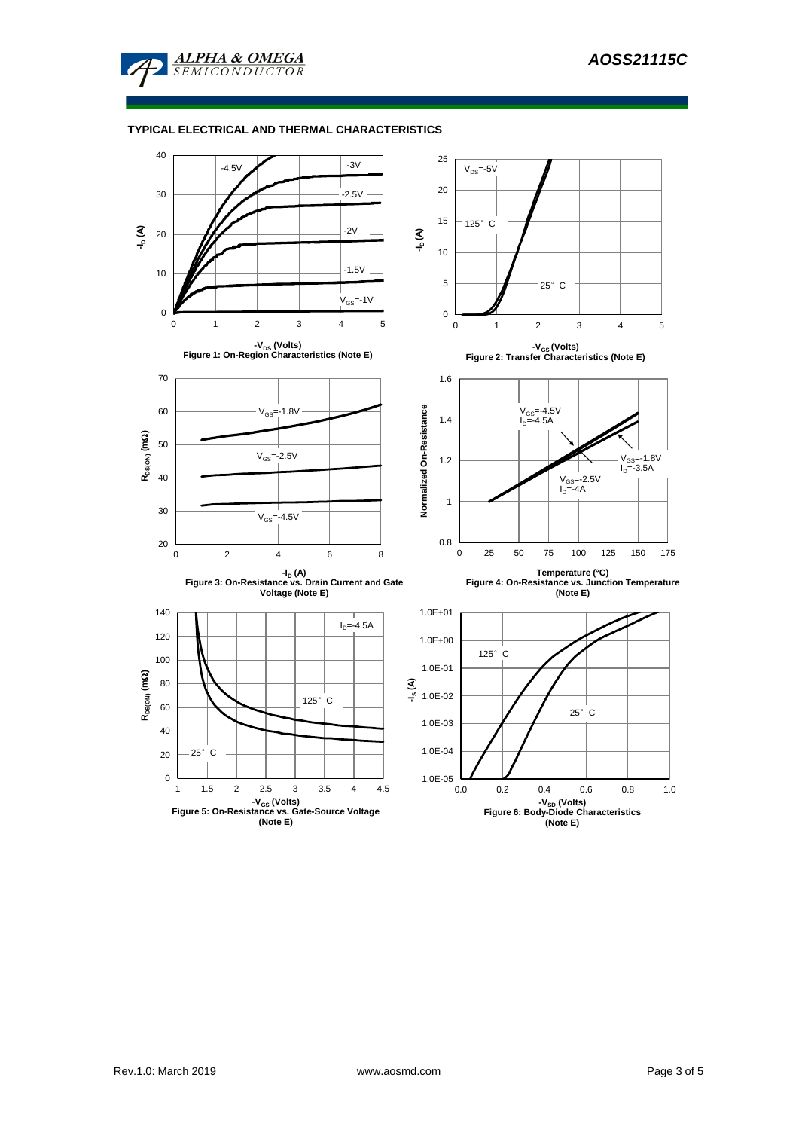

### **TYPICAL ELECTRICAL AND THERMAL CHARACTERISTICS**

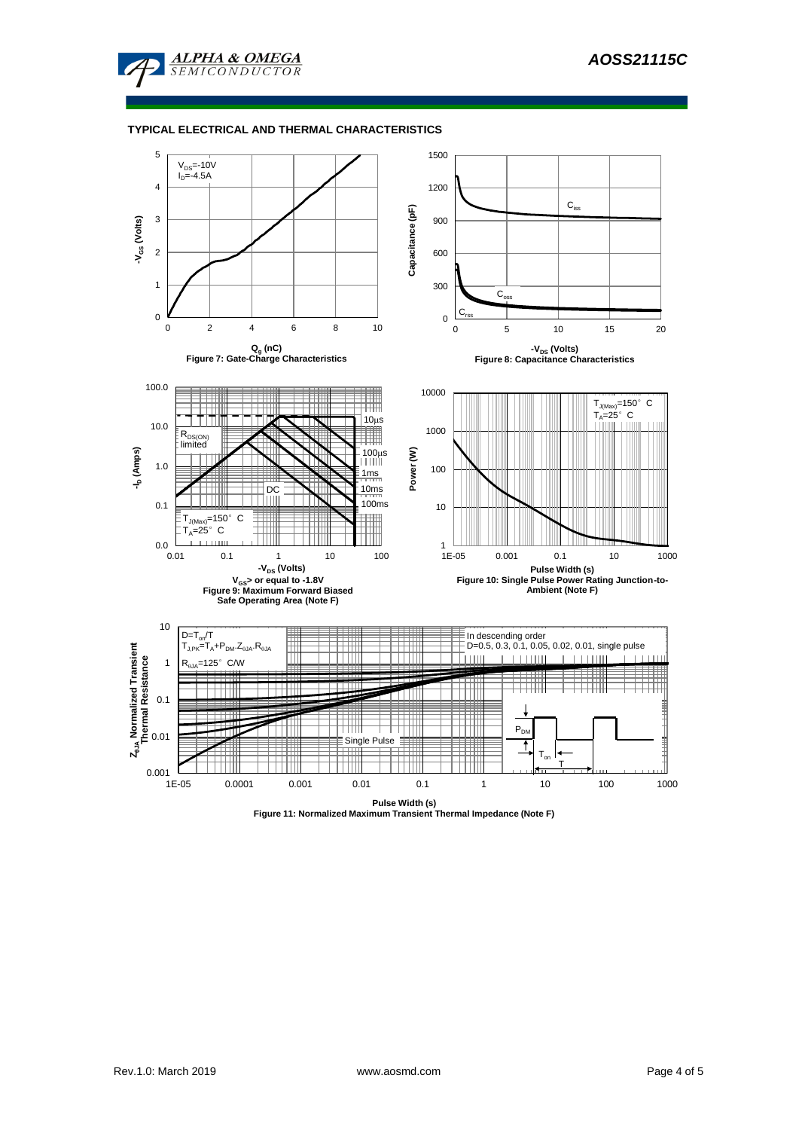

### **TYPICAL ELECTRICAL AND THERMAL CHARACTERISTICS**